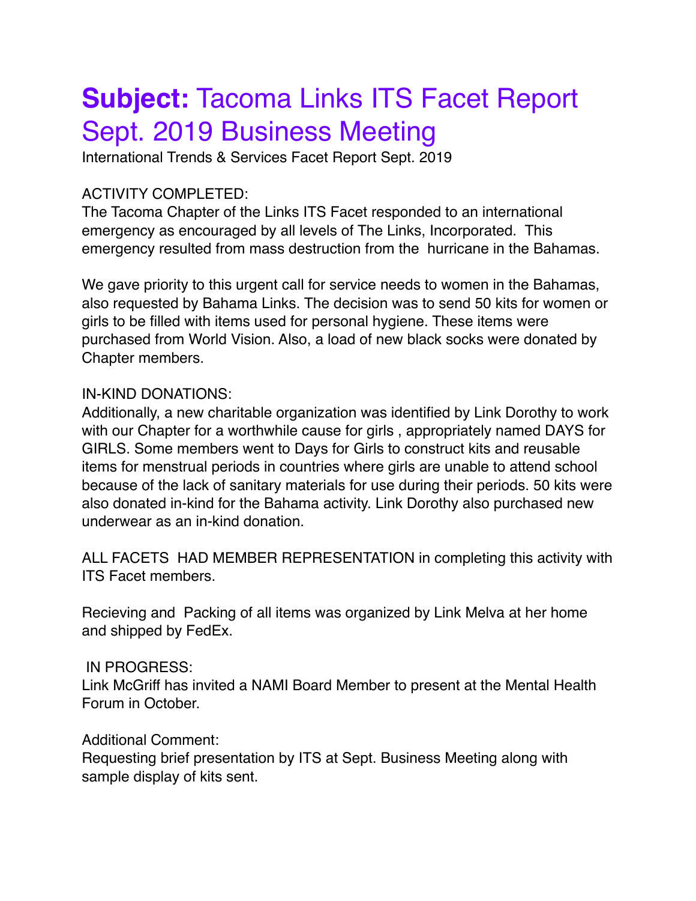# **Subject:** Tacoma Links ITS Facet Report Sept. 2019 Business Meeting

International Trends & Services Facet Report Sept. 2019

## ACTIVITY COMPLETED:

The Tacoma Chapter of the Links ITS Facet responded to an international emergency as encouraged by all levels of The Links, Incorporated. This emergency resulted from mass destruction from the hurricane in the Bahamas.

We gave priority to this urgent call for service needs to women in the Bahamas, also requested by Bahama Links. The decision was to send 50 kits for women or girls to be filled with items used for personal hygiene. These items were purchased from World Vision. Also, a load of new black socks were donated by Chapter members.

### IN-KIND DONATIONS:

Additionally, a new charitable organization was identified by Link Dorothy to work with our Chapter for a worthwhile cause for girls , appropriately named DAYS for GIRLS. Some members went to Days for Girls to construct kits and reusable items for menstrual periods in countries where girls are unable to attend school because of the lack of sanitary materials for use during their periods. 50 kits were also donated in-kind for the Bahama activity. Link Dorothy also purchased new underwear as an in-kind donation.

ALL FACETS HAD MEMBER REPRESENTATION in completing this activity with ITS Facet members.

Recieving and Packing of all items was organized by Link Melva at her home and shipped by FedEx.

### IN PROGRESS:

Link McGriff has invited a NAMI Board Member to present at the Mental Health Forum in October.

### Additional Comment:

Requesting brief presentation by ITS at Sept. Business Meeting along with sample display of kits sent.